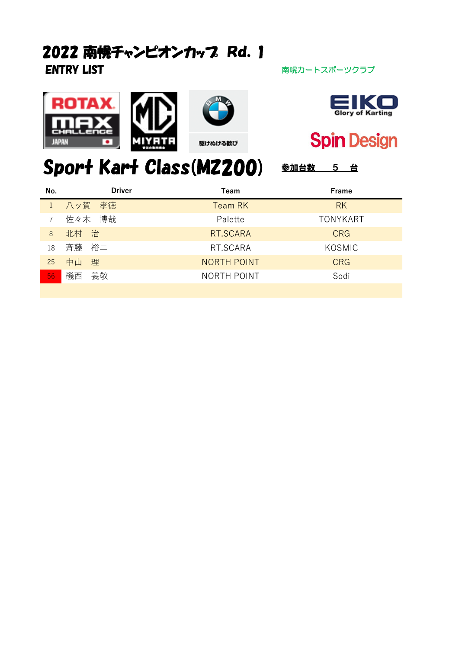## ENTRY LIST **ENTRY LIST** アイプレス アイプレス あいちょう おもの 南幌カートスポーツクラブ 2022 南幌チャンピオンカップ Rd. 1







**Spin Design** 

# Sport Kart Class(MZ200) 参加台数 5 台

| No. | <b>Driver</b> | Team               | Frame           |
|-----|---------------|--------------------|-----------------|
|     | 1 八ッ賀 孝徳      | <b>Team RK</b>     | <b>RK</b>       |
|     | 佐々木 博哉        | Palette            | <b>TONYKART</b> |
| 8   | 北村 治          | RT.SCARA           | <b>CRG</b>      |
| 18  | 斉藤 裕二         | RT.SCARA           | KOSMIC          |
| 25  | 中山<br>理       | <b>NORTH POINT</b> | <b>CRG</b>      |
| 56  | 磯西<br>義敬      | NORTH POINT        | Sodi            |
|     |               |                    |                 |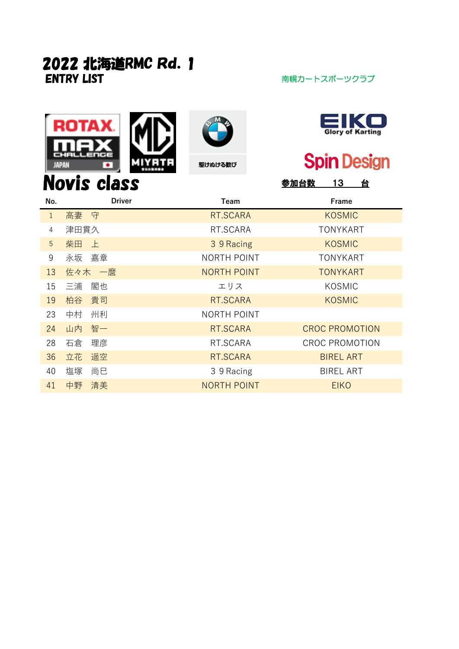## **ENTRY LIST** アイディスク インター 南幌カートスポーツクラブ 2022 北海道RMC Rd.1









# **Spin Design**

| <b>Novis class</b><br>13<br>台<br>参加台数 |               |                    |                       |  |
|---------------------------------------|---------------|--------------------|-----------------------|--|
| No.                                   | <b>Driver</b> | Team               | Frame                 |  |
| $\mathbf{1}$                          | 高妻 守          | RT.SCARA           | <b>KOSMIC</b>         |  |
| 4                                     | 津田貫久          | RT.SCARA           | <b>TONYKART</b>       |  |
| 5                                     | 柴田<br>上       | 3 9 Racing         | <b>KOSMIC</b>         |  |
| 9                                     | 永坂<br>嘉章      | NORTH POINT        | <b>TONYKART</b>       |  |
| 13                                    | 佐々木 一麿        | <b>NORTH POINT</b> | <b>TONYKART</b>       |  |
| 15                                    | 三浦<br>閣也      | エリス                | KOSMIC                |  |
| 19                                    | 貴司<br>柏谷      | RT.SCARA           | <b>KOSMIC</b>         |  |
| 23                                    | 中村<br>州利      | NORTH POINT        |                       |  |
| 24                                    | 智一<br>山内      | RT.SCARA           | <b>CROC PROMOTION</b> |  |
| 28                                    | 石倉<br>理彦      | RT.SCARA           | <b>CROC PROMOTION</b> |  |
| 36                                    | 遥空<br>立花      | RT.SCARA           | <b>BIREL ART</b>      |  |
| 40                                    | 塩塚<br>尚巳      | 3 9 Racing         | <b>BIREL ART</b>      |  |
| 41                                    | 清美<br>中野      | <b>NORTH POINT</b> | <b>EIKO</b>           |  |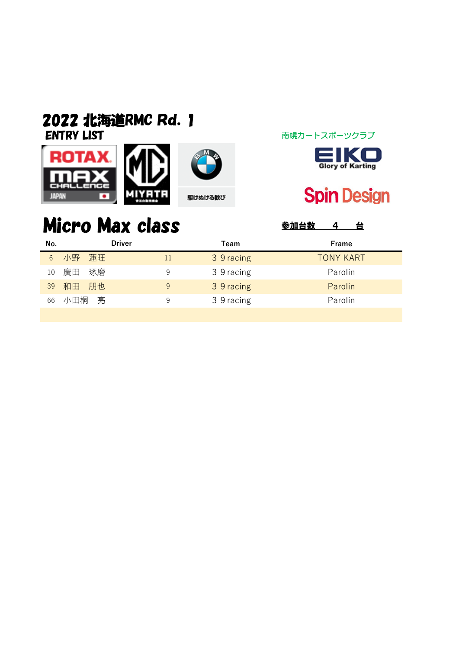#### ENTRY LIST アイディング アイディング 南幌カートスポーツクラブ 2022 北海道RMC Rd.1







## **Spin Design**

# Micro Max class **SADA** SADA A &

| No. | Driver   |    | Team       | Frame            |
|-----|----------|----|------------|------------------|
| 6   | 小野 蓮旺    | 11 | 3 9 racing | <b>TONY KART</b> |
| 10  | 廣田<br>琢磨 | 9  | 3 9 racing | Parolin          |
| 39  | 和田 朋也    | 9  | 3 9 racing | Parolin          |
| 66  | 小田桐の亮    | 9  | 3 9 racing | Parolin          |
|     |          |    |            |                  |